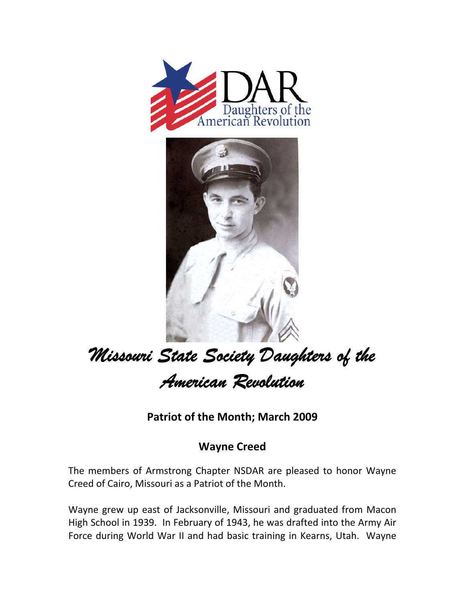



## *Missouri State Society Daughters of the American Revolution*

**Patriot of the Month; March 2009**

## **Wayne Creed**

The members of Armstrong Chapter NSDAR are pleased to honor Wayne Creed of Cairo, Missouri as a Patriot of the Month.

Wayne grew up east of Jacksonville, Missouri and graduated from Macon High School in 1939. In February of 1943, he was drafted into the Army Air Force during World War II and had basic training in Kearns, Utah. Wayne